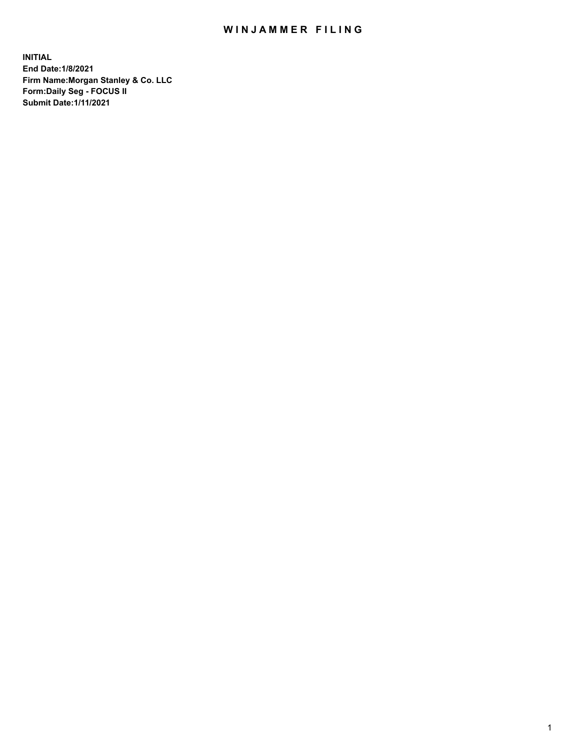## WIN JAMMER FILING

**INITIAL End Date:1/8/2021 Firm Name:Morgan Stanley & Co. LLC Form:Daily Seg - FOCUS II Submit Date:1/11/2021**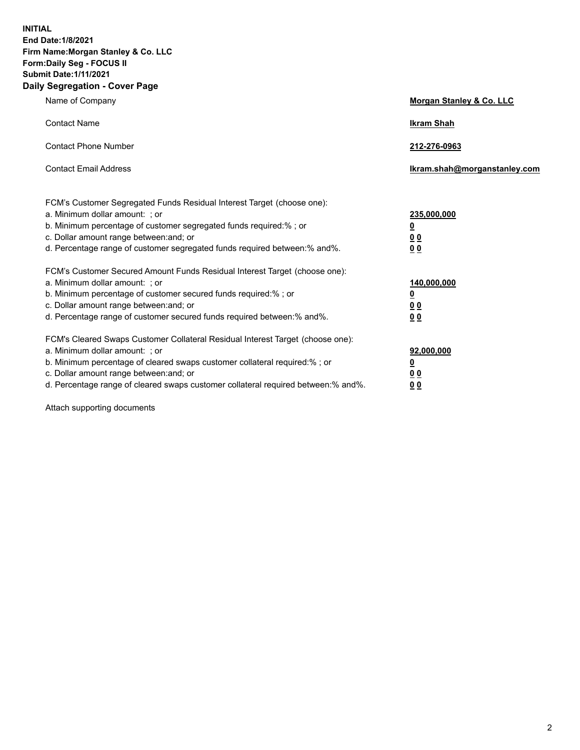**INITIAL End Date:1/8/2021 Firm Name:Morgan Stanley & Co. LLC Form:Daily Seg - FOCUS II Submit Date:1/11/2021 Daily Segregation - Cover Page**

| Name of Company                                                                                                                                                                                                                                                                                                                | Morgan Stanley & Co. LLC                               |
|--------------------------------------------------------------------------------------------------------------------------------------------------------------------------------------------------------------------------------------------------------------------------------------------------------------------------------|--------------------------------------------------------|
| <b>Contact Name</b>                                                                                                                                                                                                                                                                                                            | <b>Ikram Shah</b>                                      |
| <b>Contact Phone Number</b>                                                                                                                                                                                                                                                                                                    | 212-276-0963                                           |
| <b>Contact Email Address</b>                                                                                                                                                                                                                                                                                                   | Ikram.shah@morganstanley.com                           |
| FCM's Customer Segregated Funds Residual Interest Target (choose one):<br>a. Minimum dollar amount: : or<br>b. Minimum percentage of customer segregated funds required:%; or<br>c. Dollar amount range between: and; or<br>d. Percentage range of customer segregated funds required between:% and%.                          | 235,000,000<br><u>0</u><br>0 Q<br><u>00</u>            |
| FCM's Customer Secured Amount Funds Residual Interest Target (choose one):<br>a. Minimum dollar amount: ; or<br>b. Minimum percentage of customer secured funds required:%; or<br>c. Dollar amount range between: and; or<br>d. Percentage range of customer secured funds required between:% and%.                            | 140,000,000<br><u>0</u><br><u>00</u><br>0 <sub>0</sub> |
| FCM's Cleared Swaps Customer Collateral Residual Interest Target (choose one):<br>a. Minimum dollar amount: ; or<br>b. Minimum percentage of cleared swaps customer collateral required:% ; or<br>c. Dollar amount range between: and; or<br>d. Percentage range of cleared swaps customer collateral required between:% and%. | 92,000,000<br><u>0</u><br><u>00</u><br>0 <sub>0</sub>  |

Attach supporting documents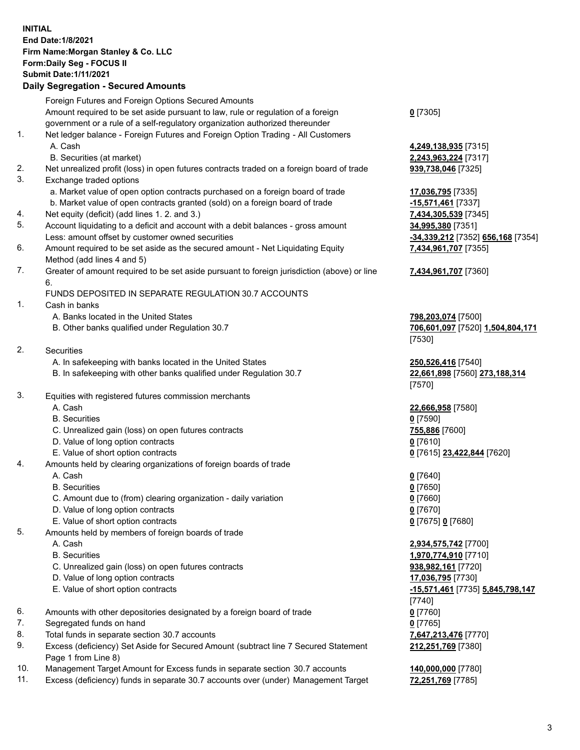## **INITIAL End Date:1/8/2021 Firm Name:Morgan Stanley & Co. LLC Form:Daily Seg - FOCUS II Submit Date:1/11/2021**

## **Daily Segregation - Secured Amounts**

|    | Foreign Futures and Foreign Options Secured Amounts<br>Amount required to be set aside pursuant to law, rule or regulation of a foreign |                                     |
|----|-----------------------------------------------------------------------------------------------------------------------------------------|-------------------------------------|
|    | government or a rule of a self-regulatory organization authorized thereunder                                                            | $0$ [7305]                          |
| 1. | Net ledger balance - Foreign Futures and Foreign Option Trading - All Customers                                                         |                                     |
|    | A. Cash                                                                                                                                 | 4,249,138,935 [7315]                |
|    | B. Securities (at market)                                                                                                               | 2,243,963,224 [7317]                |
| 2. | Net unrealized profit (loss) in open futures contracts traded on a foreign board of trade                                               | 939,738,046 [7325]                  |
| 3. | Exchange traded options                                                                                                                 |                                     |
|    | a. Market value of open option contracts purchased on a foreign board of trade                                                          | 17,036,795 [7335]                   |
|    | b. Market value of open contracts granted (sold) on a foreign board of trade                                                            | -15,571,461 <sup>[7337]</sup>       |
| 4. | Net equity (deficit) (add lines 1. 2. and 3.)                                                                                           | 7,434,305,539 [7345]                |
| 5. | Account liquidating to a deficit and account with a debit balances - gross amount                                                       | 34,995,380 [7351]                   |
|    | Less: amount offset by customer owned securities                                                                                        | <u>-34,339,212</u> [7352] <u>6</u>  |
| 6. | Amount required to be set aside as the secured amount - Net Liquidating Equity                                                          | 7,434,961,707 [7355]                |
|    | Method (add lines 4 and 5)                                                                                                              |                                     |
| 7. | Greater of amount required to be set aside pursuant to foreign jurisdiction (above) or line<br>6.                                       | 7,434,961,707 [7360]                |
|    | FUNDS DEPOSITED IN SEPARATE REGULATION 30.7 ACCOUNTS                                                                                    |                                     |
| 1. | Cash in banks                                                                                                                           |                                     |
|    | A. Banks located in the United States                                                                                                   | 798,203,074 [7500]                  |
|    | B. Other banks qualified under Regulation 30.7                                                                                          | 706,601,097 [7520] 1                |
|    |                                                                                                                                         | [7530]                              |
| 2. | <b>Securities</b>                                                                                                                       |                                     |
|    | A. In safekeeping with banks located in the United States                                                                               | 250,526,416 [7540]                  |
|    | B. In safekeeping with other banks qualified under Regulation 30.7                                                                      | 22,661,898 [7560] 27                |
|    |                                                                                                                                         | [7570]                              |
| 3. | Equities with registered futures commission merchants                                                                                   |                                     |
|    | A. Cash                                                                                                                                 | 22,666,958 [7580]                   |
|    | <b>B.</b> Securities                                                                                                                    | $0$ [7590]                          |
|    | C. Unrealized gain (loss) on open futures contracts                                                                                     | 755,886 [7600]                      |
|    | D. Value of long option contracts                                                                                                       | $0$ [7610]                          |
|    | E. Value of short option contracts                                                                                                      | 0 [7615] 23,422,844                 |
| 4. | Amounts held by clearing organizations of foreign boards of trade                                                                       |                                     |
|    | A. Cash                                                                                                                                 | $0$ [7640]                          |
|    | <b>B.</b> Securities                                                                                                                    | <u>0</u> [7650]                     |
|    | C. Amount due to (from) clearing organization - daily variation                                                                         | $0$ [7660]                          |
|    | D. Value of long option contracts                                                                                                       | $0$ [7670]                          |
|    | E. Value of short option contracts                                                                                                      | 0 [7675] 0 [7680]                   |
| 5. | Amounts held by members of foreign boards of trade                                                                                      |                                     |
|    | A. Cash                                                                                                                                 | 2,934,575,742 [7700]                |
|    | <b>B.</b> Securities                                                                                                                    | 1,970,774,910 [7710]                |
|    | C. Unrealized gain (loss) on open futures contracts                                                                                     | 938,982,161 [7720]                  |
|    | D. Value of long option contracts                                                                                                       | 17,036,795 [7730]                   |
|    | E. Value of short option contracts                                                                                                      | <u>-15,571,461</u> [7735] <u>5.</u> |
| 6. |                                                                                                                                         | [7740]                              |
| 7. | Amounts with other depositories designated by a foreign board of trade<br>Segregated funds on hand                                      | $0$ [7760]                          |
| 8. | Total funds in separate section 30.7 accounts                                                                                           | $0$ [7765]<br>7,647,213,476 [7770]  |
| 9. | Excess (deficiency) Set Aside for Secured Amount (subtract line 7 Secured Statement                                                     | 212,251,769 [7380]                  |
|    | Page 1 from Line 8)                                                                                                                     |                                     |

- 10. Management Target Amount for Excess funds in separate section 30.7 accounts **140,000,000** [7780]
- 11. Excess (deficiency) funds in separate 30.7 accounts over (under) Management Target **72,251,769** [7785]

Less: amount offset by customer owned securities **-34,339,212** [7352] **656,168** [7354] **7,434,961,707** [7355]

## **7,434,961,707** [7360]

B. Other banks qualified under Regulation 30.7 **706,601,097** [7520] **1,504,804,171**

B. In safekeeping with other banks qualified under Regulation 30.7 **22,661,898** [7560] **273,188,314**

**E. 22,844** [7620]

 E. Value of short option contracts **-15,571,461** [7735] **5,845,798,147 2** [7380]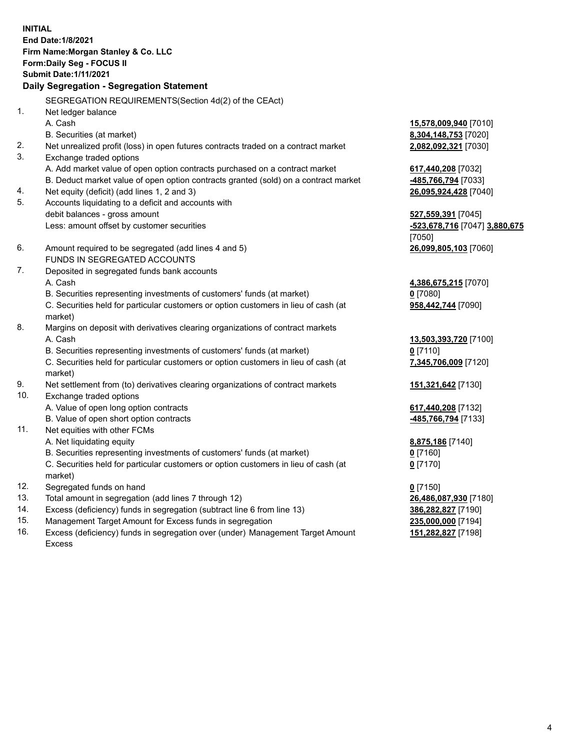**INITIAL End Date:1/8/2021 Firm Name:Morgan Stanley & Co. LLC Form:Daily Seg - FOCUS II Submit Date:1/11/2021 Daily Segregation - Segregation Statement** SEGREGATION REQUIREMENTS(Section 4d(2) of the CEAct) 1. Net ledger balance A. Cash **15,578,009,940** [7010] B. Securities (at market) **8,304,148,753** [7020] 2. Net unrealized profit (loss) in open futures contracts traded on a contract market **2,082,092,321** [7030] 3. Exchange traded options A. Add market value of open option contracts purchased on a contract market **617,440,208** [7032] B. Deduct market value of open option contracts granted (sold) on a contract market **-485,766,794** [7033] 4. Net equity (deficit) (add lines 1, 2 and 3) **26,095,924,428** [7040] 5. Accounts liquidating to a deficit and accounts with debit balances - gross amount **527,559,391** [7045] Less: amount offset by customer securities **-523,678,716** [7047] **3,880,675** [7050] 6. Amount required to be segregated (add lines 4 and 5) **26,099,805,103** [7060] FUNDS IN SEGREGATED ACCOUNTS 7. Deposited in segregated funds bank accounts A. Cash **4,386,675,215** [7070] B. Securities representing investments of customers' funds (at market) **0** [7080] C. Securities held for particular customers or option customers in lieu of cash (at market) **958,442,744** [7090] 8. Margins on deposit with derivatives clearing organizations of contract markets A. Cash **13,503,393,720** [7100] B. Securities representing investments of customers' funds (at market) **0** [7110] C. Securities held for particular customers or option customers in lieu of cash (at market) **7,345,706,009** [7120] 9. Net settlement from (to) derivatives clearing organizations of contract markets **151,321,642** [7130] 10. Exchange traded options A. Value of open long option contracts **617,440,208** [7132] B. Value of open short option contracts **-485,766,794** [7133] 11. Net equities with other FCMs A. Net liquidating equity **8,875,186** [7140] B. Securities representing investments of customers' funds (at market) **0** [7160] C. Securities held for particular customers or option customers in lieu of cash (at market) **0** [7170] 12. Segregated funds on hand **0** [7150] 13. Total amount in segregation (add lines 7 through 12) **26,486,087,930** [7180] 14. Excess (deficiency) funds in segregation (subtract line 6 from line 13) **386,282,827** [7190] 15. Management Target Amount for Excess funds in segregation **235,000,000** [7194]

16. Excess (deficiency) funds in segregation over (under) Management Target Amount Excess

**151,282,827** [7198]